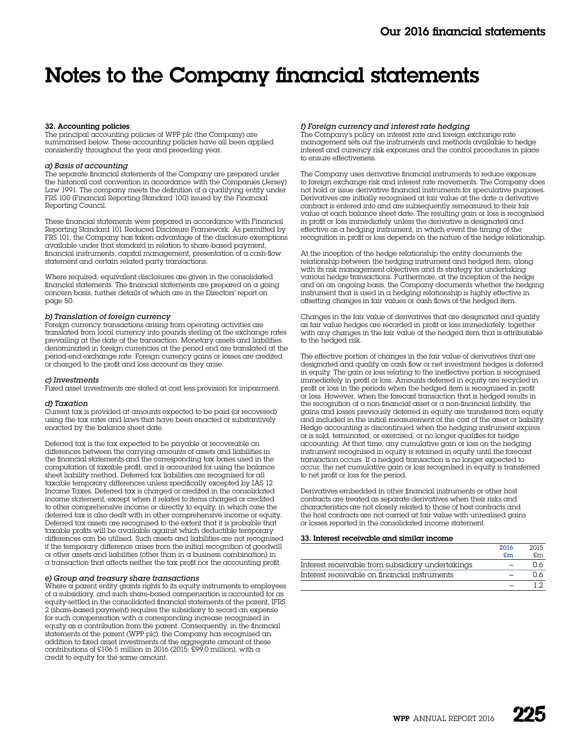# Notes to the Company financial statements

### 32. Accounting policies

The principal accounting policies of WPP plc (the Company) are summarised below. These accounting policies have all been applied consistently throughout the year and preceding year.

### *a) Basis of accounting*

The separate financial statements of the Company are prepared under the historical cost convention in accordance with the Companies (Jersey) Law 1991. The company meets the definition of  $\alpha$  qualifying entity under FRS 100 (Financial Reporting Standard 100) issued by the Financial Reporting Council.

These financial statements were prepared in accordance with Financial Reporting Standard 101 Reduced Disclosure Framework. As permitted by FRS 101, the Company has taken advantage of the disclosure exemptions available under that standard in relation to share-based payment, financial instruments, capital management, presentation of a cash-flow statement and certain related party transactions.

Where required, equivalent disclosures are given in the consolidated financial statements. The financial statements are prepared on a going concern basis, further details of which are in the Directors' report on page 50.

### *b) Translation of foreign currency*

Foreign currency transactions arising from operating activities are translated from local currency into pounds sterling at the exchange rates prevailing at the date of the transaction. Monetary assets and liabilities denominated in foreign currencies at the period end are translated at the period-end exchange rate. Foreign currency gains or losses are credited or charged to the profit and loss account as they arise.

#### *c) Investments*

Fixed asset investments are stated at cost less provision for impairment.

### *d) Taxation*

Current tax is provided at amounts expected to be paid (or recovered) using the tax rates and laws that have been enacted or substantively enacted by the balance sheet date.

Deferred tax is the tax expected to be payable or recoverable on differences between the carrying amounts of assets and liabilities in the financial statements and the corresponding tax bases used in the computation of taxable profit, and is accounted for using the balance sheet liability method. Deferred tax liabilities are recognised for all taxable temporary differences unless specifically excepted by IAS 12 Income Taxes. Deferred tax is charged or credited in the consolidated income statement, except when it relates to items charged or credited to other comprehensive income or directly to equity, in which case the deferred tax is also dealt with in other comprehensive income or equity. Deferred tax assets are recognised to the extent that it is probable that taxable profits will be available against which deductible temporary differences can be utilised. Such assets and liabilities are not recognised if the temporary difference arises from the initial recognition of goodwill or other assets and liabilities (other than in a business combination) in a transaction that affects neither the tax profit nor the accounting profit.

### *e) Group and treasury share transactions*

Where a parent entity grants rights to its equity instruments to employees of a subsidiary, and such share-based compensation is accounted for as equity-settled in the consolidated financial statements of the parent, IFRS 2 (share-based payment) requires the subsidiary to record an expense for such compensation with a corresponding increase recognised in equity as a contribution from the parent. Consequently, in the financial statements of the parent (WPP plc), the Company has recognised an addition to fixed asset investments of the aggregate amount of these contributions of £106.5 million in 2016 (2015: £99.0 million), with  $\alpha$ credit to equity for the same amount.

### *f) Foreign currency and interest rate hedging*

The Company's policy on interest rate and foreign exchange rate management sets out the instruments and methods available to hedge interest and currency risk exposures and the control procedures in place to ensure effectiveness.

The Company uses derivative financial instruments to reduce exposure to foreign exchange risk and interest rate movements. The Company does not hold or issue derivative financial instruments for speculative purposes. Derivatives are initially recognised at fair value at the date a derivative contract is entered into and are subsequently remeasured to their fair value at each balance sheet date. The resulting gain or loss is recognised in profit or loss immediately unless the derivative is designated and effective as a hedging instrument, in which event the timing of the recognition in profit or loss depends on the nature of the hedge relationship.

At the inception of the hedge relationship the entity documents the relationship between the hedging instrument and hedged item, along with its risk management objectives and its strategy for undertaking various hedge transactions. Furthermore, at the inception of the hedge and on an ongoing basis, the Company documents whether the hedging instrument that is used in a hedging relationship is highly effective in offsetting changes in fair values or cash flows of the hedged item.

Changes in the fair value of derivatives that are designated and qualify as fair value hedges are recorded in profit or loss immediately, together with any changes in the fair value of the hedged item that is attributable to the hedged risk.

The effective portion of changes in the fair value of derivatives that are designated and qualify as cash flow or net investment hedges is deferred in equity. The gain or loss relating to the ineffective portion is recognised immediately in profit or loss. Amounts deferred in equity are recycled in profit or loss in the periods when the hedged item is recognised in profit or loss. However, when the forecast transaction that is hedged results in the recognition of  $\alpha$  non-financial asset or  $\alpha$  non-financial liability, the gains and losses previously deferred in equity are transferred from equity and included in the initial measurement of the cost of the asset or liability. Hedge accounting is discontinued when the hedging instrument expires or is sold, terminated, or exercised, or no longer qualifies for hedge accounting. At that time, any cumulative gain or loss on the hedging instrument recognised in equity is retained in equity until the forecast transaction occurs. If a hedged transaction is no longer expected to occur, the net cumulative gain or loss recognised in equity is transferred to net profit or loss for the period.

Derivatives embedded in other financial instruments or other host contracts are treated as separate derivatives when their risks and characteristics are not closely related to those of host contracts and the host contracts are not carried at fair value with unrealised gains or losses reported in the consolidated income statement.

### 33. Interest receivable and similar income

|                                                  | 2016                      | 2015 |
|--------------------------------------------------|---------------------------|------|
|                                                  | $\mathbf{f}_{\mathbf{m}}$ | £m   |
| Interest receivable from subsidiary undertakings |                           | ገ.6  |
| Interest receivable on financial instruments     |                           | ገ 6  |
|                                                  |                           |      |